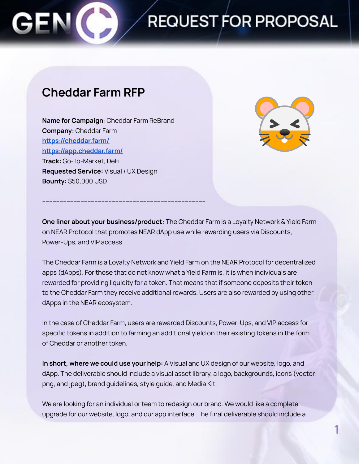# **REQUEST FOR PROPOSAL**

### **Cheddar Farm RFP**

**Name for Campaign**: Cheddar Farm ReBrand **Company:** Cheddar Farm **<https://cheddar.farm/> <https://app.cheddar.farm/> Track:** Go-To-Market, DeFi **Requested Service:** Visual / UX Design **Bounty:** \$50,000 USD

**----------------------------------------------------------------------------------------------**



**One liner about your business/product:** The Cheddar Farm is a Loyalty Network & Yield Farm on NEAR Protocol that promotes NEAR dApp use while rewarding users via Discounts, Power-Ups, and VIP access.

The Cheddar Farm is a Loyalty Network and Yield Farm on the NEAR Protocol for decentralized apps (dApps). For those that do not know what a Yield Farm is, it is when individuals are rewarded for providing liquidity for a token. That means that if someone deposits their token to the Cheddar Farm they receive additional rewards. Users are also rewarded by using other dApps in the NEAR ecosystem.

In the case of Cheddar Farm, users are rewarded Discounts, Power-Ups, and VIP access for specific tokens in addition to farming an additional yield on their existing tokens in the form of Cheddar or another token.

**In short, where we could use your help:** A Visual and UX design of our website, logo, and dApp. The deliverable should include a visual asset library, a logo, backgrounds, icons (vector, png, and jpeg), brand guidelines, style guide, and Media Kit.

We are looking for an individual or team to redesign our brand. We would like a complete upgrade for our website, logo, and our app interface. The final deliverable should include a